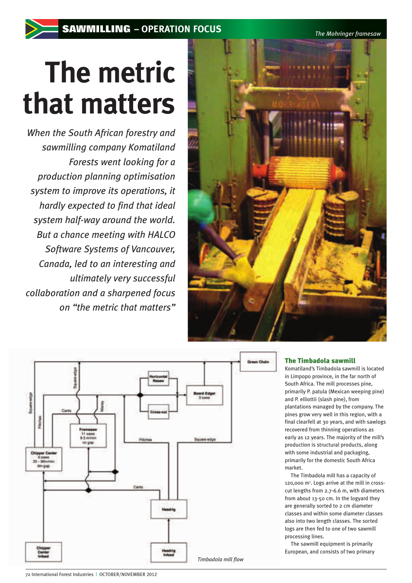*The Mohringer framesaw* 

# **The metric that matters**

*When the South African forestry and sawmilling company Komatiland Forests went looking for a production planning optimisation system to improve its operations, it hardly expected to find that ideal system half-way around the world. But a chance meeting with HALCO Software Systems of Vancouver, Canada, led to an interesting and ultimately very successful collaboration and a sharpened focus on "the metric that matters"*





#### The Timbadola sawmill

Komatiland's Timbadola sawmill is located in Limpopo province, in the far north of South Africa. The mill processes pine, primarily P. patula (Mexican weeping pine) and P. elliottii (slash pine), from plantations managed by the company. The pines grow very well in this region, with a final clearfell at 30 years, and with sawlogs recovered from thinning operations as early as 12 years. The majority of the mill's production is structural products, along with some industrial and packaging, primarily for the domestic South Africa market.

The Timbadola mill has a capacity of 120,000 m<sup>3</sup> . Logs arrive at the mill in crosscut lengths from 2.7-6.6 m, with diameters from about 13-50 cm. In the logyard they are generally sorted to 2 cm diameter classes and within some diameter classes also into two length classes. The sorted logs are then fed to one of two sawmill processing lines.

The sawmill equipment is primarily European, and consists of two primary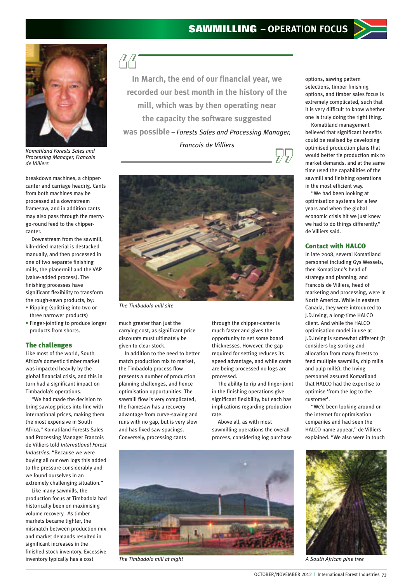

*Komatiland Forests Sales and Processing Manager, Francois de Villiers*

breakdown machines, a chippercanter and carriage headrig. Cants from both machines may be processed at a downstream framesaw, and in addition cants may also pass through the merrygo-round feed to the chippercanter.

Downstream from the sawmill, kiln-dried material is destacked manually, and then processed in one of two separate finishing mills, the planermill and the VAP (value-added process). The finishing processes have significant flexibility to transform the rough-sawn products, by:

- Ripping (splitting into two or three narrower products)
- Finger-jointing to produce longer products from shorts.

#### The challenges

Like most of the world, South Africa's domestic timber market was impacted heavily by the global financial crisis, and this in turn had a significant impact on Timbadola's operations.

"We had made the decision to bring sawlog prices into line with international prices, making them the most expensive in South Africa," Komatiland Forests Sales and Processing Manager Francois de Villiers told *International Forest Industries*. "Because we were buying all our own logs this added to the pressure considerably and we found ourselves in an extremely challenging situation."

Like many sawmills, the production focus at Timbadola had historically been on maximising volume recovery. As timber markets became tighter, the mismatch between production mix and market demands resulted in significant increases in the finished stock inventory. Excessive inventory typically has a cost

 $\sqrt{4/3}$ 

**In March, the end of our financial year, we recorded our best month in the history of the mill, which was by then operating near the capacity the software suggested was possible** *– Forests Sales and Processing Manager, Francois de Villiers*  $\mathcal{L}/\mathcal{L}$ 



*The Timbadola mill site*

much greater than just the carrying cost, as significant price discounts must ultimately be given to clear stock.

In addition to the need to better match production mix to market, the Timbadola process flow presents a number of production planning challenges, and hence optimisation opportunities. The sawmill flow is very complicated; the framesaw has a recovery advantage from curve-sawing and runs with no gap, but is very slow and has fixed saw spacings. Conversely, processing cants

through the chipper-canter is much faster and gives the opportunity to set some board thicknesses. However, the gap required for setting reduces its speed advantage, and while cants are being processed no logs are processed.

The ability to rip and finger-joint in the finishing operations give significant flexibility, but each has implications regarding production rate.

Above all, as with most sawmilling operations the overall process, considering log purchase



*The Timbadola mill at night A South African pine tree*



Komatiland management believed that significant benefits could be realised by developing optimised production plans that would better tie production mix to market demands, and at the same time used the capabilities of the sawmill and finishing operations in the most efficient way.

"We had been looking at optimisation systems for a few years and when the global economic crisis hit we just knew we had to do things differently," de Villiers said.

#### Contact with HALCO

In late 2008, several Komatiland personnel including Gys Wessels, then Komatiland's head of strategy and planning, and Francois de Villiers, head of marketing and processing, were in North America. While in eastern Canada, they were introduced to J.D.Irving, a long-time HALCO client. And while the HALCO optimisation model in use at J.D.Irving is somewhat different (it considers log sorting and allocation from many forests to feed multiple sawmills, chip mills and pulp mills), the Irving personnel assured Komatiland that HALCO had the expertise to optimise 'from the log to the customer'.

"We'd been looking around on the internet for optimisation companies and had seen the HALCO name appear," de Villiers explained. "We also were in touch

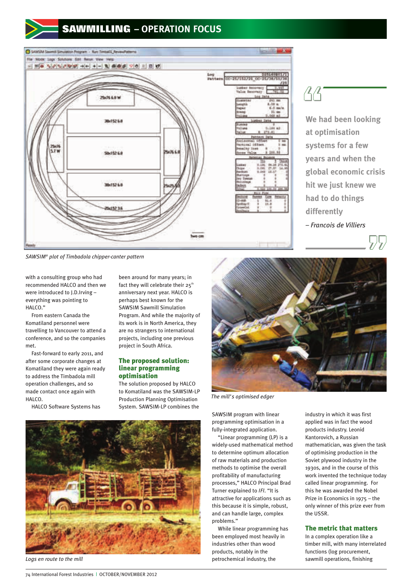# **SAWMILLING – OPERATION FOCUS**



 $\Delta$ 

**We had been looking at optimisation systems for a few years and when the global economic crisis hit we just knew we had to do things differently** *– Francois de Villiers*



*SAWSIM® plot of Timbadola chipper-canter pattern*

with a consulting group who had recommended HALCO and then we were introduced to J.D.Irving – everything was pointing to HALCO."

From eastern Canada the Komatiland personnel were travelling to Vancouver to attend a conference, and so the companies met.

Fast-forward to early 2011, and after some corporate changes at Komatiland they were again ready to address the Timbadola mill operation challenges, and so made contact once again with HALCO.

HALCO Software Systems has

been around for many years; in fact they will celebrate their  $25^{th}$ anniversary next year. HALCO is perhaps best known for the SAWSIM Sawmill Simulation Program. And while the majority of its work is in North America, they are no strangers to international projects, including one previous project in South Africa.

#### The proposed solution: linear programming optimisation

The solution proposed by HALCO to Komatiland was the SAWSIM-LP Production Planning Optimisation System. SAWSIM-LP combines the



*Logs en route to the mill*



*The mill's optimised edger*

SAWSIM program with linear programming optimisation in a fully-integrated application.

"Linear programming (LP) is a widely-used mathematical method to determine optimum allocation of raw materials and production methods to optimise the overall profitability of manufacturing processes," HALCO Principal Brad Turner explained to *IFI*. "It is attractive for applications such as this because it is simple, robust, and can handle large, complex problems."

While linear programming has been employed most heavily in industries other than wood products, notably in the petrochemical industry, the

industry in which it was first applied was in fact the wood products industry. Leonid Kantorovich, a Russian mathematician, was given the task of optimising production in the Soviet plywood industry in the 1930s, and in the course of this work invented the technique today called linear programming. For this he was awarded the Nobel Prize in Economics in 1975 – the only winner of this prize ever from the USSR.

#### The metric that matters

In a complex operation like a timber mill, with many interrelated functions (log procurement, sawmill operations, finishing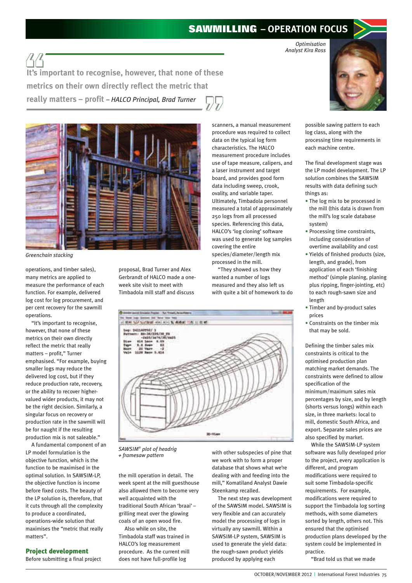### **SAWMILLING – OPERATION FOCUS**

*Optimisation Analyst Kira Ross*



possible sawing pattern to each log class, along with the processing time requirements in each machine centre.

The final development stage was the LP model development. The LP solution combines the SAWSIM results with data defining such things as:

- The log mix to be processed in the mill (this data is drawn from the mill's log scale database system)
- Processing time constraints, including consideration of overtime availability and cost
- Yields of finished products (size, length, and grade), from application of each 'finishing method' (simple planing, planing plus ripping, finger-jointing, etc) to each rough-sawn size and length
- Timber and by-product sales prices
- Constraints on the timber mix that may be sold.

Defining the timber sales mix constraints is critical to the optimised production plan matching market demands. The constraints were defined to allow specification of the minimum/maximum sales mix percentages by size, and by length (shorts versus longs) within each size, in three markets: local to mill, domestic South Africa, and export. Separate sales prices are also specified by market.

While the SAWSIM-LP system software was fully developed prior to the project, every application is different, and program modifications were required to suit some Timbadola-specific requirements. For example, modifications were required to support the Timbadola log sorting methods, with some diameters sorted by length, others not. This ensured that the optimised production plans developed by the system could be implemented in practice.

"Brad told us that we made

**It's important to recognise, however, that none of these metrics on their own directly reflect the metric that really matters – profit** *– HALCO Principal, Brad Turner*



*Greenchain stacking*

operations, and timber sales), many metrics are applied to measure the performance of each function. For example, delivered log cost for log procurement, and per cent recovery for the sawmill operations.

"It's important to recognise, however, that none of these metrics on their own directly reflect the metric that really matters – profit," Turner emphasised. "For example, buying smaller logs may reduce the delivered log cost, but if they reduce production rate, recovery, or the ability to recover highervalued wider products, it may not be the right decision. Similarly, a singular focus on recovery or production rate in the sawmill will be for naught if the resulting production mix is not saleable."

A fundamental component of an LP model formulation is the objective function, which is the function to be maximised in the optimal solution. In SAWSIM-LP, the objective function is income before fixed costs. The beauty of the LP solution is, therefore, that it cuts through all the complexity to produce a coordinated, operations-wide solution that maximises the "metric that really matters".

#### Project development

Before submitting a final project

proposal, Brad Turner and Alex Gerbrandt of HALCO made a oneweek site visit to meet with Timbadola mill staff and discuss

measurement procedure includes use of tape measure, calipers, and a laser instrument and target board, and provides good form data including sweep, crook, ovality, and variable taper. Ultimately, Timbadola personnel measured a total of approximately 250 logs from all processed species. Referencing this data, HALCO's 'log cloning' software was used to generate log samples covering the entire species/diameter/length mix

scanners, a manual measurement procedure was required to collect data on the typical log form characteristics. The HALCO

processed in the mill. "They showed us how they wanted a number of logs

measured and they also left us with quite a bit of homework to do



*SAWSIM® plot of headrig + framesaw pattern*

the mill operation in detail. The week spent at the mill guesthouse also allowed them to become very well acquainted with the traditional South African 'braai' – grilling meat over the glowing coals of an open wood fire.

Also while on site, the Timbadola staff was trained in HALCO's log measurement procedure. As the current mill does not have full-profile log

with other subspecies of pine that we work with to form a proper database that shows what we're dealing with and feeding into the mill," Komatiland Analyst Dawie Steenkamp recalled.

The next step was development of the SAWSIM model. SAWSIM is very flexible and can accurately model the processing of logs in virtually any sawmill. Within a SAWSIM-LP system, SAWSIM is used to generate the yield data: the rough-sawn product yields produced by applying each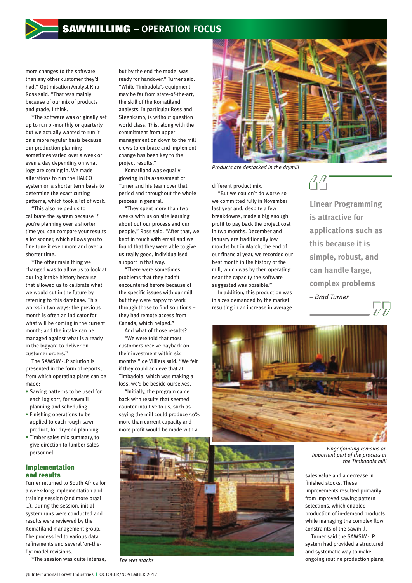more changes to the software than any other customer they'd had," Optimisation Analyst Kira Ross said. "That was mainly because of our mix of products and grade, I think.

"The software was originally set up to run bi-monthly or quarterly but we actually wanted to run it on a more regular basis because our production planning sometimes varied over a week or even a day depending on what logs are coming in. We made alterations to run the HALCO system on a shorter term basis to determine the exact cutting patterns, which took a lot of work.

"This also helped us to calibrate the system because if you're planning over a shorter time you can compare your results a lot sooner, which allows you to fine tune it even more and over a shorter time.

"The other main thing we changed was to allow us to look at our log intake history because that allowed us to calibrate what we would cut in the future by referring to this database. This works in two ways: the previous month is often an indicator for what will be coming in the current month; and the intake can be managed against what is already in the logyard to deliver on customer orders."

The SAWSIM-LP solution is presented in the form of reports, from which operating plans can be made:

- Sawing patterns to be used for each log sort, for sawmill planning and scheduling
- Finishing operations to be applied to each rough-sawn product, for dry-end planning
- Timber sales mix summary, to give direction to lumber sales personnel.

#### Implementation and results

Turner returned to South Africa for a week-long implementation and training session (and more braai …). During the session, initial system runs were conducted and results were reviewed by the Komatiland management group. The process led to various data refinements and several 'on-thefly' model revisions.

"The session was quite intense,

but by the end the model was ready for handover," Turner said. "While Timbadola's equipment may be far from state-of-the-art, the skill of the Komatiland analysts, in particular Ross and Steenkamp, is without question world class. This, along with the commitment from upper management on down to the mill crews to embrace and implement change has been key to the project results."

Komatiland was equally glowing in its assessment of Turner and his team over that period and throughout the whole process in general.

"They spent more than two weeks with us on site learning about out our process and our people," Ross said. "After that, we kept in touch with email and we found that they were able to give us really good, individualised support in that way.

"There were sometimes problems that they hadn't encountered before because of the specific issues with our mill but they were happy to work through those to find solutions – they had remote access from Canada, which helped."

And what of those results? "We were told that most

customers receive payback on their investment within six months," de Villiers said. "We felt if they could achieve that at Timbadola, which was making a loss, we'd be beside ourselves.

"Initially, the program came back with results that seemed counter-intuitive to us, such as saying the mill could produce 50% more than current capacity and more profit would be made with a



*Products are destacked in the drymill*

different product mix.

"But we couldn't do worse so we committed fully in November last year and, despite a few breakdowns, made a big enough profit to pay back the project cost in two months. December and January are traditionally low months but in March, the end of our financial year, we recorded our best month in the history of the mill, which was by then operating near the capacity the software suggested was possible."

In addition, this production was in sizes demanded by the market, resulting in an increase in average



**Linear Programming is attractive for applications such as this because it is simple, robust, and can handle large, complex problems**  *– Brad Turner*



*Fingerjointing remains an important part of the process at the Timbadola mill*

sales value and a decrease in finished stocks. These improvements resulted primarily from improved sawing pattern selections, which enabled production of in-demand products while managing the complex flow constraints of the sawmill.

Turner said the SAWSIM-LP system had provided a structured and systematic way to make ongoing routine production plans,